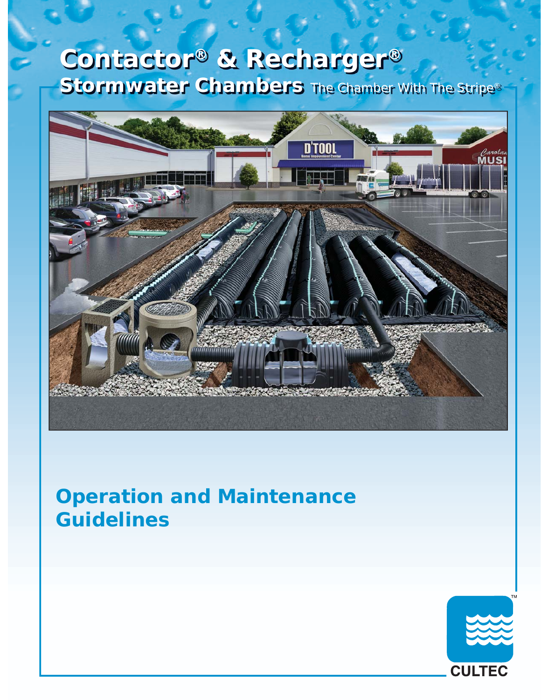# **Contactor® & Recharger® Stormwater Chambers** The Chamber With The Stripe®



# **Operation and Maintenance Guidelines**

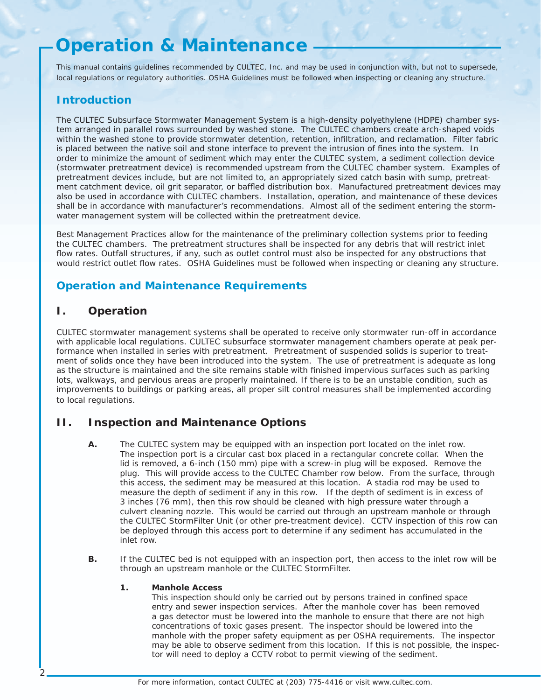# **Operation & Maintenance**

*This manual contains guidelines recommended by CULTEC, Inc. and may be used in conjunction with, but not to supersede, local regulations or regulatory authorities. OSHA Guidelines must be followed when inspecting or cleaning any structure.*

## **Introduction**

The CULTEC Subsurface Stormwater Management System is a high-density polyethylene (HDPE) chamber system arranged in parallel rows surrounded by washed stone. The CULTEC chambers create arch-shaped voids within the washed stone to provide stormwater detention, retention, infiltration, and reclamation. Filter fabric is placed between the native soil and stone interface to prevent the intrusion of fines into the system. In order to minimize the amount of sediment which may enter the CULTEC system, a sediment collection device (stormwater pretreatment device) is recommended upstream from the CULTEC chamber system. Examples of pretreatment devices include, but are not limited to, an appropriately sized catch basin with sump, pretreatment catchment device, oil grit separator, or baffled distribution box. Manufactured pretreatment devices may also be used in accordance with CULTEC chambers. Installation, operation, and maintenance of these devices shall be in accordance with manufacturer's recommendations. Almost all of the sediment entering the stormwater management system will be collected within the pretreatment device.

Best Management Practices allow for the maintenance of the preliminary collection systems prior to feeding the CULTEC chambers. The pretreatment structures shall be inspected for any debris that will restrict inlet flow rates. Outfall structures, if any, such as outlet control must also be inspected for any obstructions that would restrict outlet flow rates. OSHA Guidelines must be followed when inspecting or cleaning any structure.

# **Operation and Maintenance Requirements**

### **I. Operation**

2

CULTEC stormwater management systems shall be operated to receive only stormwater run-off in accordance with applicable local regulations. CULTEC subsurface stormwater management chambers operate at peak performance when installed in series with pretreatment. Pretreatment of suspended solids is superior to treatment of solids once they have been introduced into the system. The use of pretreatment is adequate as long as the structure is maintained and the site remains stable with finished impervious surfaces such as parking lots, walkways, and pervious areas are properly maintained. If there is to be an unstable condition, such as improvements to buildings or parking areas, all proper silt control measures shall be implemented according to local regulations.

### **II. Inspection and Maintenance Options**

- **A.** The CULTEC system may be equipped with an inspection port located on the inlet row. The inspection port is a circular cast box placed in a rectangular concrete collar. When the lid is removed, a 6-inch (150 mm) pipe with a screw-in plug will be exposed. Remove the plug. This will provide access to the CULTEC Chamber row below. From the surface, through this access, the sediment may be measured at this location. A stadia rod may be used to measure the depth of sediment if any in this row. If the depth of sediment is in excess of 3 inches (76 mm), then this row should be cleaned with high pressure water through a culvert cleaning nozzle. This would be carried out through an upstream manhole or through the CULTEC StormFilter Unit (or other pre-treatment device). CCTV inspection of this row can be deployed through this access port to determine if any sediment has accumulated in the inlet row.
- **B.** If the CULTEC bed is not equipped with an inspection port, then access to the inlet row will be through an upstream manhole or the CULTEC StormFilter.

### **1. Manhole Access**

This inspection should only be carried out by persons trained in confined space entry and sewer inspection services. After the manhole cover has been removed a gas detector must be lowered into the manhole to ensure that there are not high concentrations of toxic gases present. The inspector should be lowered into the manhole with the proper safety equipment as per OSHA requirements. The inspector may be able to observe sediment from this location. If this is not possible, the inspec tor will need to deploy a CCTV robot to permit viewing of the sediment.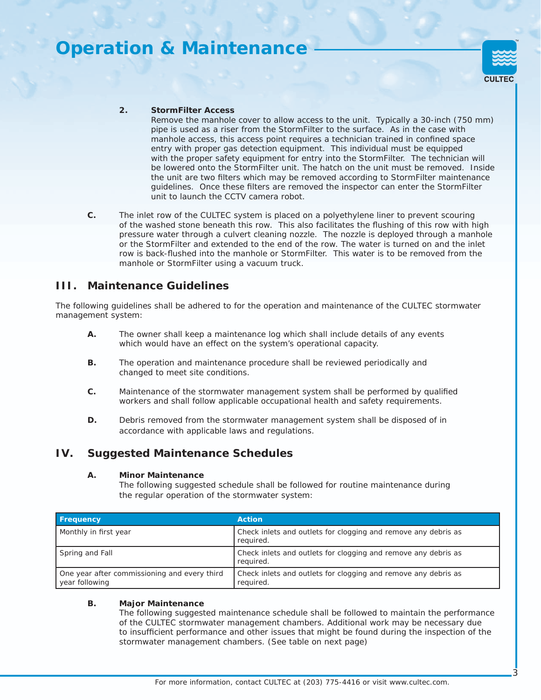# **Operation & Maintenance**



#### **2. StormFilter Access**

 Remove the manhole cover to allow access to the unit. Typically a 30-inch (750 mm) pipe is used as a riser from the StormFilter to the surface. As in the case with manhole access, this access point requires a technician trained in confined space entry with proper gas detection equipment. This individual must be equipped with the proper safety equipment for entry into the StormFilter. The technician will be lowered onto the StormFilter unit. The hatch on the unit must be removed. Inside the unit are two filters which may be removed according to StormFilter maintenance quidelines. Once these filters are removed the inspector can enter the StormFilter unit to launch the CCTV camera robot.

**C.** The inlet row of the CULTEC system is placed on a polyethylene liner to prevent scouring of the washed stone beneath this row. This also facilitates the flushing of this row with high pressure water through a culvert cleaning nozzle. The nozzle is deployed through a manhole or the StormFilter and extended to the end of the row. The water is turned on and the inlet row is back-flushed into the manhole or StormFilter. This water is to be removed from the manhole or StormFilter using a vacuum truck.

### **III. Maintenance Guidelines**

The following guidelines shall be adhered to for the operation and maintenance of the CULTEC stormwater management system:

- **A.** The owner shall keep a maintenance log which shall include details of any events which would have an effect on the system's operational capacity.
- **B.** The operation and maintenance procedure shall be reviewed periodically and changed to meet site conditions.
- **C.** Maintenance of the stormwater management system shall be performed by qualified workers and shall follow applicable occupational health and safety requirements.
- **D.** Debris removed from the stormwater management system shall be disposed of in accordance with applicable laws and regulations.

### **IV. Suggested Maintenance Schedules**

#### **A. Minor Maintenance**

 The following suggested schedule shall be followed for routine maintenance during the regular operation of the stormwater system:

| <b>Frequency</b>                                               | <b>Action</b>                                                               |
|----------------------------------------------------------------|-----------------------------------------------------------------------------|
| Monthly in first year                                          | Check inlets and outlets for clogging and remove any debris as<br>required. |
| Spring and Fall                                                | Check inlets and outlets for clogging and remove any debris as<br>required. |
| One year after commissioning and every third<br>year following | Check inlets and outlets for clogging and remove any debris as<br>required. |

#### **B. Major Maintenance**

 The following suggested maintenance schedule shall be followed to maintain the performance of the CULTEC stormwater management chambers. Additional work may be necessary due to insufficient performance and other issues that might be found during the inspection of the stormwater management chambers. (See table on next page)